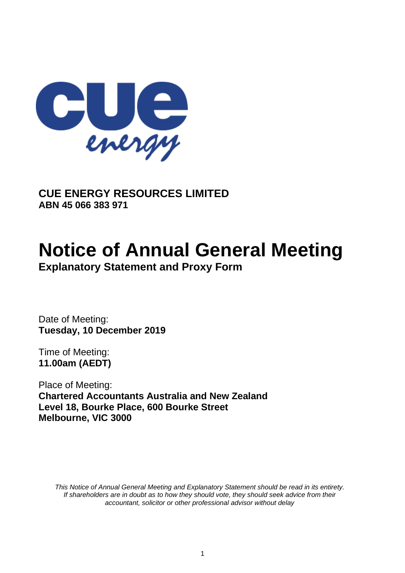

**CUE ENERGY RESOURCES LIMITED ABN 45 066 383 971**

# **Notice of Annual General Meeting**

**Explanatory Statement and Proxy Form**

Date of Meeting: **Tuesday, 10 December 2019**

Time of Meeting: **11.00am (AEDT)**

Place of Meeting: **Chartered Accountants Australia and New Zealand Level 18, Bourke Place, 600 Bourke Street Melbourne, VIC 3000**

*This Notice of Annual General Meeting and Explanatory Statement should be read in its entirety. If shareholders are in doubt as to how they should vote, they should seek advice from their accountant, solicitor or other professional advisor without delay*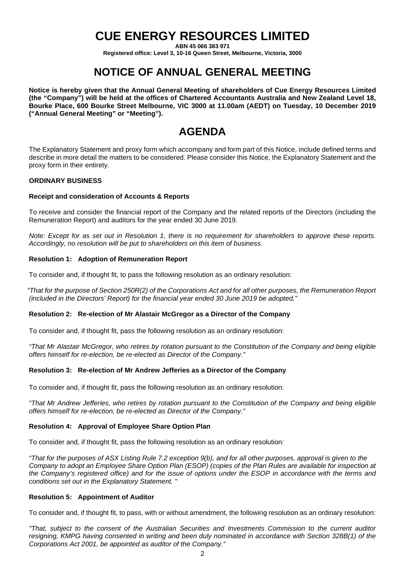### **CUE ENERGY RESOURCES LIMITED**

**ABN 45 066 383 971**

**Registered office: Level 3, 10-16 Queen Street, Melbourne, Victoria, 3000**

### **NOTICE OF ANNUAL GENERAL MEETING**

**Notice is hereby given that the Annual General Meeting of shareholders of Cue Energy Resources Limited (the "Company") will be held at the offices of Chartered Accountants Australia and New Zealand Level 18, Bourke Place, 600 Bourke Street Melbourne, VIC 3000 at 11.00am (AEDT) on Tuesday, 10 December 2019 ("Annual General Meeting" or "Meeting").**

### **AGENDA**

The Explanatory Statement and proxy form which accompany and form part of this Notice, include defined terms and describe in more detail the matters to be considered. Please consider this Notice, the Explanatory Statement and the proxy form in their entirety.

#### **ORDINARY BUSINESS**

#### **Receipt and consideration of Accounts & Reports**

To receive and consider the financial report of the Company and the related reports of the Directors (including the Remuneration Report) and auditors for the year ended 30 June 2019.

*Note: Except for as set out in Resolution 1, there is no requirement for shareholders to approve these reports. Accordingly, no resolution will be put to shareholders on this item of business.*

#### **Resolution 1: Adoption of Remuneration Report**

To consider and, if thought fit, to pass the following resolution as an ordinary resolution:

*"That for the purpose of Section 250R(2) of the Corporations Act and for all other purposes, the Remuneration Report (included in the Directors' Report) for the financial year ended 30 June 2019 be adopted."*

#### **Resolution 2: Re-election of Mr Alastair McGregor as a Director of the Company**

To consider and, if thought fit, pass the following resolution as an ordinary resolution:

*"That Mr Alastair McGregor, who retires by rotation pursuant to the Constitution of the Company and being eligible offers himself for re-election, be re-elected as Director of the Company."*

#### **Resolution 3: Re-election of Mr Andrew Jefferies as a Director of the Company**

To consider and, if thought fit, pass the following resolution as an ordinary resolution:

*"That Mr Andrew Jefferies, who retires by rotation pursuant to the Constitution of the Company and being eligible offers himself for re-election, be re-elected as Director of the Company."*

#### **Resolution 4: Approval of Employee Share Option Plan**

To consider and, if thought fit, pass the following resolution as an ordinary resolution:

*"That for the purposes of ASX Listing Rule 7.2 exception 9(b), and for all other purposes, approval is given to the Company to adopt an Employee Share Option Plan (ESOP) (copies of the Plan Rules are available for inspection at the Company's registered office) and for the issue of options under the ESOP in accordance with the terms and conditions set out in the Explanatory Statement. "*

#### **Resolution 5: Appointment of Auditor**

To consider and, if thought fit, to pass, with or without amendment, the following resolution as an ordinary resolution:

*"That, subject to the consent of the Australian Securities and Investments Commission to the current auditor resigning, KMPG having consented in writing and been duly nominated in accordance with Section 328B(1) of the Corporations Act 2001, be appointed as auditor of the Company."*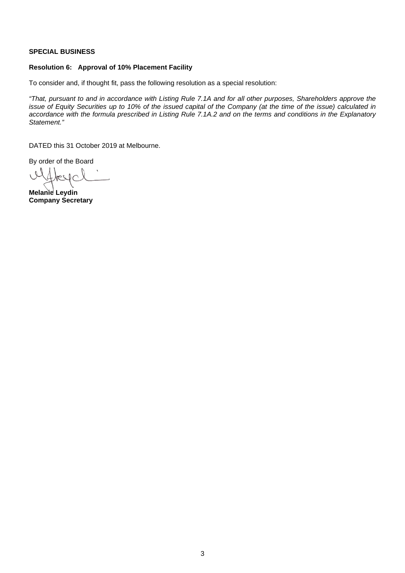#### **SPECIAL BUSINESS**

#### **Resolution 6: Approval of 10% Placement Facility**

To consider and, if thought fit, pass the following resolution as a special resolution:

*"That, pursuant to and in accordance with Listing Rule 7.1A and for all other purposes, Shareholders approve the issue of Equity Securities up to 10% of the issued capital of the Company (at the time of the issue) calculated in accordance with the formula prescribed in Listing Rule 7.1A.2 and on the terms and conditions in the Explanatory Statement."* 

DATED this 31 October 2019 at Melbourne.

By order of the Board

l  $V$ 

**Melanie Leydin Company Secretary**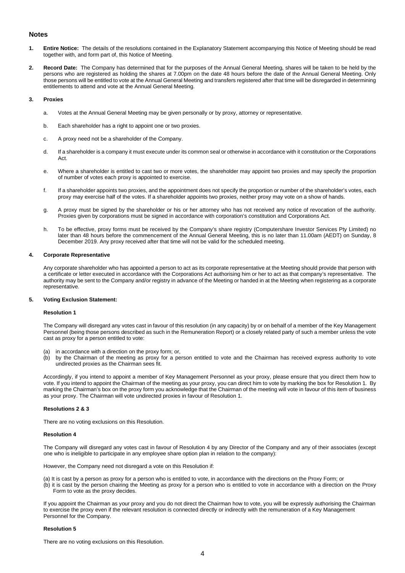#### **Notes**

- **1. Entire Notice:** The details of the resolutions contained in the Explanatory Statement accompanying this Notice of Meeting should be read together with, and form part of, this Notice of Meeting.
- **2. Record Date:** The Company has determined that for the purposes of the Annual General Meeting, shares will be taken to be held by the persons who are registered as holding the shares at 7.00pm on the date 48 hours before the date of the Annual General Meeting. Only those persons will be entitled to vote at the Annual General Meeting and transfers registered after that time will be disregarded in determining entitlements to attend and vote at the Annual General Meeting.

#### **3. Proxies**

- a. Votes at the Annual General Meeting may be given personally or by proxy, attorney or representative.
- b. Each shareholder has a right to appoint one or two proxies.
- c. A proxy need not be a shareholder of the Company.
- d. If a shareholder is a company it must execute under its common seal or otherwise in accordance with it constitution or the Corporations Act.
- e. Where a shareholder is entitled to cast two or more votes, the shareholder may appoint two proxies and may specify the proportion of number of votes each proxy is appointed to exercise.
- f. If a shareholder appoints two proxies, and the appointment does not specify the proportion or number of the shareholder's votes, each proxy may exercise half of the votes. If a shareholder appoints two proxies, neither proxy may vote on a show of hands.
- g. A proxy must be signed by the shareholder or his or her attorney who has not received any notice of revocation of the authority. Proxies given by corporations must be signed in accordance with corporation's constitution and Corporations Act.
- h. To be effective, proxy forms must be received by the Company's share registry (Computershare Investor Services Pty Limited) no later than 48 hours before the commencement of the Annual General Meeting, this is no later than 11.00am (AEDT) on Sunday, 8 December 2019. Any proxy received after that time will not be valid for the scheduled meeting.

#### **4. Corporate Representative**

Any corporate shareholder who has appointed a person to act as its corporate representative at the Meeting should provide that person with a certificate or letter executed in accordance with the Corporations Act authorising him or her to act as that company's representative. The authority may be sent to the Company and/or registry in advance of the Meeting or handed in at the Meeting when registering as a corporate representative.

#### **5. Voting Exclusion Statement:**

#### **Resolution 1**

The Company will disregard any votes cast in favour of this resolution (in any capacity) by or on behalf of a member of the Key Management Personnel (being those persons described as such in the Remuneration Report) or a closely related party of such a member unless the vote cast as proxy for a person entitled to vote:

- (a) in accordance with a direction on the proxy form; or,
- (b) by the Chairman of the meeting as proxy for a person entitled to vote and the Chairman has received express authority to vote undirected proxies as the Chairman sees fit.

Accordingly, if you intend to appoint a member of Key Management Personnel as your proxy, please ensure that you direct them how to vote. If you intend to appoint the Chairman of the meeting as your proxy, you can direct him to vote by marking the box for Resolution 1. By marking the Chairman's box on the proxy form you acknowledge that the Chairman of the meeting will vote in favour of this item of business as your proxy. The Chairman will vote undirected proxies in favour of Resolution 1.

#### **Resolutions 2 & 3**

There are no voting exclusions on this Resolution.

#### **Resolution 4**

The Company will disregard any votes cast in favour of Resolution 4 by any Director of the Company and any of their associates (except one who is ineligible to participate in any employee share option plan in relation to the company):

However, the Company need not disregard a vote on this Resolution if:

(a) It is cast by a person as proxy for a person who is entitled to vote, in accordance with the directions on the Proxy Form; or

(b) it is cast by the person chairing the Meeting as proxy for a person who is entitled to vote in accordance with a direction on the Proxy Form to vote as the proxy decides.

If you appoint the Chairman as your proxy and you do not direct the Chairman how to vote, you will be expressly authorising the Chairman to exercise the proxy even if the relevant resolution is connected directly or indirectly with the remuneration of a Key Management Personnel for the Company.

#### **Resolution 5**

There are no voting exclusions on this Resolution.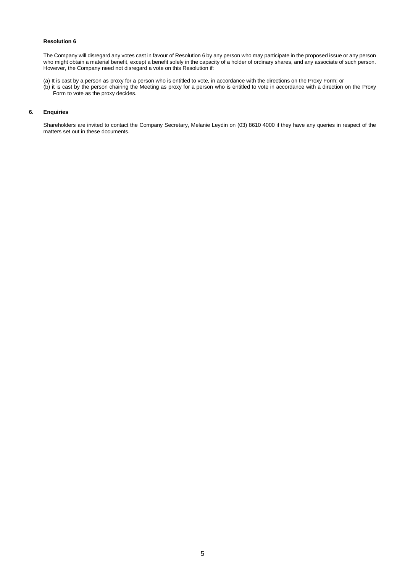#### **Resolution 6**

The Company will disregard any votes cast in favour of Resolution 6 by any person who may participate in the proposed issue or any person who might obtain a material benefit, except a benefit solely in the capacity of a holder of ordinary shares, and any associate of such person. However, the Company need not disregard a vote on this Resolution if:

(a) It is cast by a person as proxy for a person who is entitled to vote, in accordance with the directions on the Proxy Form; or (b) it is cast by the person chairing the Meeting as proxy for a person who is entitled to vote in accordance with a direction on the Proxy Form to vote as the proxy decides.

#### **6. Enquiries**

Shareholders are invited to contact the Company Secretary, Melanie Leydin on (03) 8610 4000 if they have any queries in respect of the matters set out in these documents.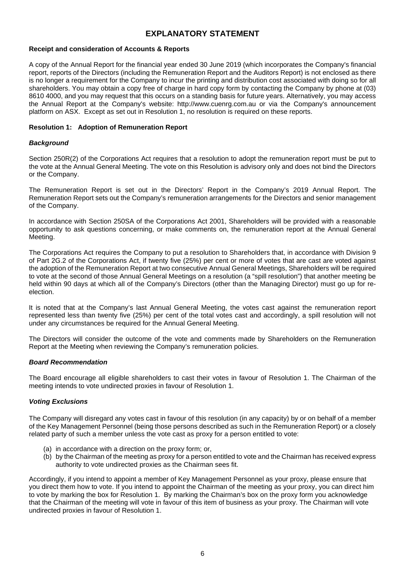#### **EXPLANATORY STATEMENT**

#### **Receipt and consideration of Accounts & Reports**

A copy of the Annual Report for the financial year ended 30 June 2019 (which incorporates the Company's financial report, reports of the Directors (including the Remuneration Report and the Auditors Report) is not enclosed as there is no longer a requirement for the Company to incur the printing and distribution cost associated with doing so for all shareholders. You may obtain a copy free of charge in hard copy form by contacting the Company by phone at (03) 8610 4000, and you may request that this occurs on a standing basis for future years. Alternatively, you may access the Annual Report at the Company's website: http://www.cuenrg.com.au or via the Company's announcement platform on ASX. Except as set out in Resolution 1, no resolution is required on these reports.

#### **Resolution 1: Adoption of Remuneration Report**

#### *Background*

Section 250R(2) of the Corporations Act requires that a resolution to adopt the remuneration report must be put to the vote at the Annual General Meeting. The vote on this Resolution is advisory only and does not bind the Directors or the Company.

The Remuneration Report is set out in the Directors' Report in the Company's 2019 Annual Report. The Remuneration Report sets out the Company's remuneration arrangements for the Directors and senior management of the Company.

In accordance with Section 250SA of the Corporations Act 2001, Shareholders will be provided with a reasonable opportunity to ask questions concerning, or make comments on, the remuneration report at the Annual General Meeting.

The Corporations Act requires the Company to put a resolution to Shareholders that, in accordance with Division 9 of Part 2G.2 of the Corporations Act, if twenty five (25%) per cent or more of votes that are cast are voted against the adoption of the Remuneration Report at two consecutive Annual General Meetings, Shareholders will be required to vote at the second of those Annual General Meetings on a resolution (a "spill resolution") that another meeting be held within 90 days at which all of the Company's Directors (other than the Managing Director) must go up for reelection.

It is noted that at the Company's last Annual General Meeting, the votes cast against the remuneration report represented less than twenty five (25%) per cent of the total votes cast and accordingly, a spill resolution will not under any circumstances be required for the Annual General Meeting.

The Directors will consider the outcome of the vote and comments made by Shareholders on the Remuneration Report at the Meeting when reviewing the Company's remuneration policies.

#### *Board Recommendation*

The Board encourage all eligible shareholders to cast their votes in favour of Resolution 1. The Chairman of the meeting intends to vote undirected proxies in favour of Resolution 1.

#### *Voting Exclusions*

The Company will disregard any votes cast in favour of this resolution (in any capacity) by or on behalf of a member of the Key Management Personnel (being those persons described as such in the Remuneration Report) or a closely related party of such a member unless the vote cast as proxy for a person entitled to vote:

- (a) in accordance with a direction on the proxy form; or,
- (b) by the Chairman of the meeting as proxy for a person entitled to vote and the Chairman has received express authority to vote undirected proxies as the Chairman sees fit.

Accordingly, if you intend to appoint a member of Key Management Personnel as your proxy, please ensure that you direct them how to vote. If you intend to appoint the Chairman of the meeting as your proxy, you can direct him to vote by marking the box for Resolution 1. By marking the Chairman's box on the proxy form you acknowledge that the Chairman of the meeting will vote in favour of this item of business as your proxy. The Chairman will vote undirected proxies in favour of Resolution 1.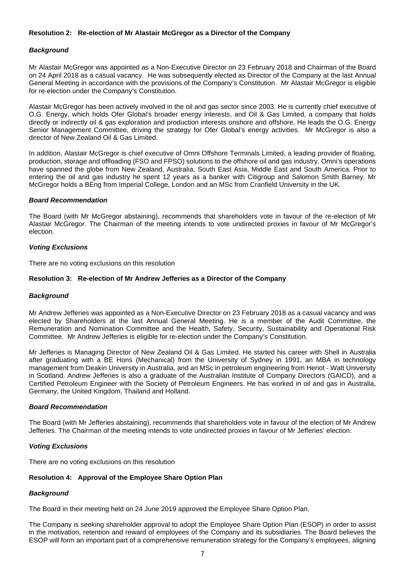#### **Resolution 2: Re-election of Mr Alastair McGregor as a Director of the Company**

#### *Background*

Mr Alastair McGregor was appointed as a Non-Executive Director on 23 February 2018 and Chairman of the Board on 24 April 2018 as a casual vacancy. He was subsequently elected as Director of the Company at the last Annual General Meeting in accordance with the provisions of the Company's Constitution. Mr Alastair McGregor is eligible for re-election under the Company's Constitution.

Alastair McGregor has been actively involved in the oil and gas sector since 2003. He is currently chief executive of O.G. Energy, which holds Ofer Global's broader energy interests, and Oil & Gas Limited, a company that holds directly or indirectly oil & gas exploration and production interests onshore and offshore. He leads the O.G. Energy Senior Management Committee, driving the strategy for Ofer Global's energy activities. Mr McGregor is also a director of New Zealand Oil & Gas Limited.

In addition, Alastair McGregor is chief executive of Omni Offshore Terminals Limited, a leading provider of floating, production, storage and offloading (FSO and FPSO) solutions to the offshore oil and gas industry. Omni's operations have spanned the globe from New Zealand, Australia, South East Asia, Middle East and South America. Prior to entering the oil and gas industry he spent 12 years as a banker with Citigroup and Salomon Smith Barney. Mr McGregor holds a BEng from Imperial College, London and an MSc from Cranfield University in the UK.

#### *Board Recommendation*

The Board (with Mr McGregor abstaining), recommends that shareholders vote in favour of the re-election of Mr Alastair McGregor. The Chairman of the meeting intends to vote undirected proxies in favour of Mr McGregor's election.

#### *Voting Exclusions*

There are no voting exclusions on this resolution

#### **Resolution 3: Re-election of Mr Andrew Jefferies as a Director of the Company**

#### *Background*

Mr Andrew Jefferies was appointed as a Non-Executive Director on 23 February 2018 as a casual vacancy and was elected by Shareholders at the last Annual General Meeting. He is a member of the Audit Committee, the Remuneration and Nomination Committee and the Health, Safety, Security, Sustainability and Operational Risk Committee. Mr Andrew Jefferies is eligible for re-election under the Company's Constitution.

Mr Jefferies is Managing Director of New Zealand Oil & Gas Limited. He started his career with Shell in Australia after graduating with a BE Hons (Mechanical) from the University of Sydney in 1991, an MBA in technology management from Deakin University in Australia, and an MSc in petroleum engineering from Heriot - Watt University in Scotland. Andrew Jefferies is also a graduate of the Australian Institute of Company Directors (GAICD), and a Certified Petroleum Engineer with the Society of Petroleum Engineers. He has worked in oil and gas in Australia, Germany, the United Kingdom, Thailand and Holland.

#### *Board Recommendation*

The Board (with Mr Jefferies abstaining), recommends that shareholders vote in favour of the election of Mr Andrew Jefferies. The Chairman of the meeting intends to vote undirected proxies in favour of Mr Jefferies' election.

#### *Voting Exclusions*

There are no voting exclusions on this resolution

#### **Resolution 4: Approval of the Employee Share Option Plan**

#### *Background*

The Board in their meeting held on 24 June 2019 approved the Employee Share Option Plan.

The Company is seeking shareholder approval to adopt the Employee Share Option Plan (ESOP) in order to assist in the motivation, retention and reward of employees of the Company and its subsidiaries. The Board believes the ESOP will form an important part of a comprehensive remuneration strategy for the Company's employees, aligning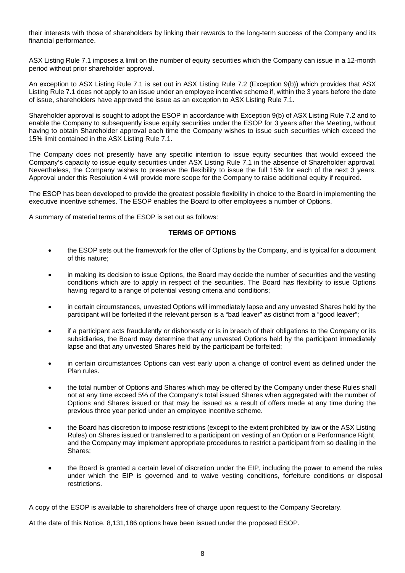their interests with those of shareholders by linking their rewards to the long-term success of the Company and its financial performance.

ASX Listing Rule 7.1 imposes a limit on the number of equity securities which the Company can issue in a 12-month period without prior shareholder approval.

An exception to ASX Listing Rule 7.1 is set out in ASX Listing Rule 7.2 (Exception 9(b)) which provides that ASX Listing Rule 7.1 does not apply to an issue under an employee incentive scheme if, within the 3 years before the date of issue, shareholders have approved the issue as an exception to ASX Listing Rule 7.1.

Shareholder approval is sought to adopt the ESOP in accordance with Exception 9(b) of ASX Listing Rule 7.2 and to enable the Company to subsequently issue equity securities under the ESOP for 3 years after the Meeting, without having to obtain Shareholder approval each time the Company wishes to issue such securities which exceed the 15% limit contained in the ASX Listing Rule 7.1.

The Company does not presently have any specific intention to issue equity securities that would exceed the Company's capacity to issue equity securities under ASX Listing Rule 7.1 in the absence of Shareholder approval. Nevertheless, the Company wishes to preserve the flexibility to issue the full 15% for each of the next 3 years. Approval under this Resolution 4 will provide more scope for the Company to raise additional equity if required.

The ESOP has been developed to provide the greatest possible flexibility in choice to the Board in implementing the executive incentive schemes. The ESOP enables the Board to offer employees a number of Options.

A summary of material terms of the ESOP is set out as follows:

#### **TERMS OF OPTIONS**

- the ESOP sets out the framework for the offer of Options by the Company, and is typical for a document of this nature;
- in making its decision to issue Options, the Board may decide the number of securities and the vesting conditions which are to apply in respect of the securities. The Board has flexibility to issue Options having regard to a range of potential vesting criteria and conditions;
- in certain circumstances, unvested Options will immediately lapse and any unvested Shares held by the participant will be forfeited if the relevant person is a "bad leaver" as distinct from a "good leaver";
- if a participant acts fraudulently or dishonestly or is in breach of their obligations to the Company or its subsidiaries, the Board may determine that any unvested Options held by the participant immediately lapse and that any unvested Shares held by the participant be forfeited;
- in certain circumstances Options can vest early upon a change of control event as defined under the Plan rules.
- the total number of Options and Shares which may be offered by the Company under these Rules shall not at any time exceed 5% of the Company's total issued Shares when aggregated with the number of Options and Shares issued or that may be issued as a result of offers made at any time during the previous three year period under an employee incentive scheme.
- the Board has discretion to impose restrictions (except to the extent prohibited by law or the ASX Listing Rules) on Shares issued or transferred to a participant on vesting of an Option or a Performance Right, and the Company may implement appropriate procedures to restrict a participant from so dealing in the Shares;
- the Board is granted a certain level of discretion under the EIP, including the power to amend the rules under which the EIP is governed and to waive vesting conditions, forfeiture conditions or disposal restrictions.

A copy of the ESOP is available to shareholders free of charge upon request to the Company Secretary.

At the date of this Notice, 8,131,186 options have been issued under the proposed ESOP.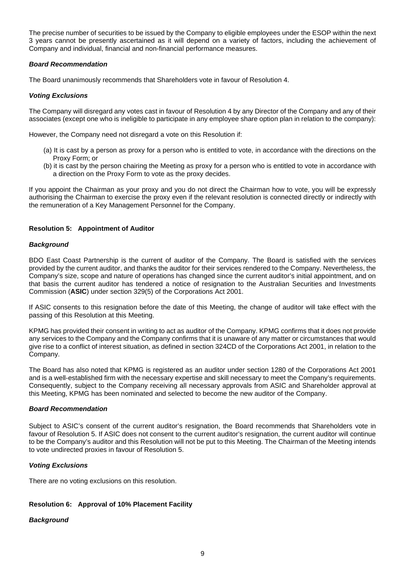The precise number of securities to be issued by the Company to eligible employees under the ESOP within the next 3 years cannot be presently ascertained as it will depend on a variety of factors, including the achievement of Company and individual, financial and non-financial performance measures.

#### *Board Recommendation*

The Board unanimously recommends that Shareholders vote in favour of Resolution 4.

#### *Voting Exclusions*

The Company will disregard any votes cast in favour of Resolution 4 by any Director of the Company and any of their associates (except one who is ineligible to participate in any employee share option plan in relation to the company):

However, the Company need not disregard a vote on this Resolution if:

- (a) It is cast by a person as proxy for a person who is entitled to vote, in accordance with the directions on the Proxy Form; or
- (b) it is cast by the person chairing the Meeting as proxy for a person who is entitled to vote in accordance with a direction on the Proxy Form to vote as the proxy decides.

If you appoint the Chairman as your proxy and you do not direct the Chairman how to vote, you will be expressly authorising the Chairman to exercise the proxy even if the relevant resolution is connected directly or indirectly with the remuneration of a Key Management Personnel for the Company.

#### **Resolution 5: Appointment of Auditor**

#### *Background*

BDO East Coast Partnership is the current of auditor of the Company. The Board is satisfied with the services provided by the current auditor, and thanks the auditor for their services rendered to the Company. Nevertheless, the Company's size, scope and nature of operations has changed since the current auditor's initial appointment, and on that basis the current auditor has tendered a notice of resignation to the Australian Securities and Investments Commission (**ASIC**) under section 329(5) of the Corporations Act 2001.

If ASIC consents to this resignation before the date of this Meeting, the change of auditor will take effect with the passing of this Resolution at this Meeting.

KPMG has provided their consent in writing to act as auditor of the Company. KPMG confirms that it does not provide any services to the Company and the Company confirms that it is unaware of any matter or circumstances that would give rise to a conflict of interest situation, as defined in section 324CD of the Corporations Act 2001, in relation to the Company.

The Board has also noted that KPMG is registered as an auditor under section 1280 of the Corporations Act 2001 and is a well-established firm with the necessary expertise and skill necessary to meet the Company's requirements. Consequently, subject to the Company receiving all necessary approvals from ASIC and Shareholder approval at this Meeting, KPMG has been nominated and selected to become the new auditor of the Company.

#### *Board Recommendation*

Subject to ASIC's consent of the current auditor's resignation, the Board recommends that Shareholders vote in favour of Resolution 5. If ASIC does not consent to the current auditor's resignation, the current auditor will continue to be the Company's auditor and this Resolution will not be put to this Meeting. The Chairman of the Meeting intends to vote undirected proxies in favour of Resolution 5.

#### *Voting Exclusions*

There are no voting exclusions on this resolution.

#### **Resolution 6: Approval of 10% Placement Facility**

#### *Background*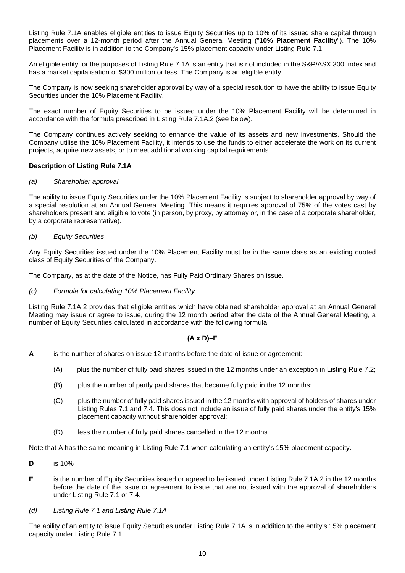Listing Rule 7.1A enables eligible entities to issue Equity Securities up to 10% of its issued share capital through placements over a 12-month period after the Annual General Meeting ("**10% Placement Facility**"). The 10% Placement Facility is in addition to the Company's 15% placement capacity under Listing Rule 7.1.

An eligible entity for the purposes of Listing Rule 7.1A is an entity that is not included in the S&P/ASX 300 Index and has a market capitalisation of \$300 million or less. The Company is an eligible entity.

The Company is now seeking shareholder approval by way of a special resolution to have the ability to issue Equity Securities under the 10% Placement Facility.

The exact number of Equity Securities to be issued under the 10% Placement Facility will be determined in accordance with the formula prescribed in Listing Rule 7.1A.2 (see below).

The Company continues actively seeking to enhance the value of its assets and new investments. Should the Company utilise the 10% Placement Facility, it intends to use the funds to either accelerate the work on its current projects, acquire new assets, or to meet additional working capital requirements.

#### **Description of Listing Rule 7.1A**

#### *(a) Shareholder approval*

The ability to issue Equity Securities under the 10% Placement Facility is subject to shareholder approval by way of a special resolution at an Annual General Meeting. This means it requires approval of 75% of the votes cast by shareholders present and eligible to vote (in person, by proxy, by attorney or, in the case of a corporate shareholder, by a corporate representative).

#### *(b) Equity Securities*

Any Equity Securities issued under the 10% Placement Facility must be in the same class as an existing quoted class of Equity Securities of the Company.

The Company, as at the date of the Notice, has Fully Paid Ordinary Shares on issue.

#### *(c) Formula for calculating 10% Placement Facility*

Listing Rule 7.1A.2 provides that eligible entities which have obtained shareholder approval at an Annual General Meeting may issue or agree to issue, during the 12 month period after the date of the Annual General Meeting, a number of Equity Securities calculated in accordance with the following formula:

#### **(A x D)–E**

- **A** is the number of shares on issue 12 months before the date of issue or agreement:
	- (A) plus the number of fully paid shares issued in the 12 months under an exception in Listing Rule 7.2;
	- (B) plus the number of partly paid shares that became fully paid in the 12 months;
	- (C) plus the number of fully paid shares issued in the 12 months with approval of holders of shares under Listing Rules 7.1 and 7.4. This does not include an issue of fully paid shares under the entity's 15% placement capacity without shareholder approval;
	- (D) less the number of fully paid shares cancelled in the 12 months.

Note that A has the same meaning in Listing Rule 7.1 when calculating an entity's 15% placement capacity.

- **D** is 10%
- **E** is the number of Equity Securities issued or agreed to be issued under Listing Rule 7.1A.2 in the 12 months before the date of the issue or agreement to issue that are not issued with the approval of shareholders under Listing Rule 7.1 or 7.4.
- *(d) Listing Rule 7.1 and Listing Rule 7.1A*

The ability of an entity to issue Equity Securities under Listing Rule 7.1A is in addition to the entity's 15% placement capacity under Listing Rule 7.1.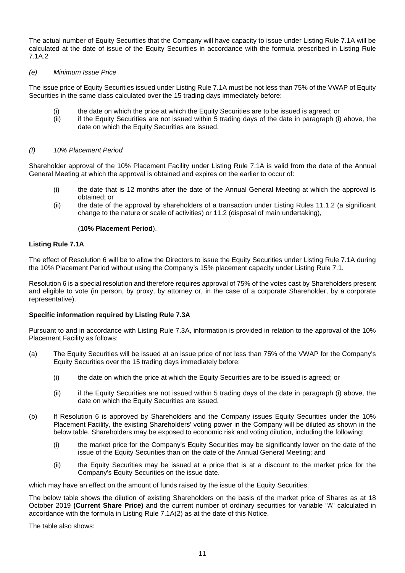The actual number of Equity Securities that the Company will have capacity to issue under Listing Rule 7.1A will be calculated at the date of issue of the Equity Securities in accordance with the formula prescribed in Listing Rule 7.1A.2

#### *(e) Minimum Issue Price*

The issue price of Equity Securities issued under Listing Rule 7.1A must be not less than 75% of the VWAP of Equity Securities in the same class calculated over the 15 trading days immediately before:

- (i) the date on which the price at which the Equity Securities are to be issued is agreed; or
- (ii) if the Equity Securities are not issued within 5 trading days of the date in paragraph (i) above, the date on which the Equity Securities are issued.

#### *(f) 10% Placement Period*

Shareholder approval of the 10% Placement Facility under Listing Rule 7.1A is valid from the date of the Annual General Meeting at which the approval is obtained and expires on the earlier to occur of:

- (i) the date that is 12 months after the date of the Annual General Meeting at which the approval is obtained; or
- (ii) the date of the approval by shareholders of a transaction under Listing Rules 11.1.2 (a significant change to the nature or scale of activities) or 11.2 (disposal of main undertaking),

#### (**10% Placement Period**).

#### **Listing Rule 7.1A**

The effect of Resolution 6 will be to allow the Directors to issue the Equity Securities under Listing Rule 7.1A during the 10% Placement Period without using the Company's 15% placement capacity under Listing Rule 7.1.

Resolution 6 is a special resolution and therefore requires approval of 75% of the votes cast by Shareholders present and eligible to vote (in person, by proxy, by attorney or, in the case of a corporate Shareholder, by a corporate representative).

#### **Specific information required by Listing Rule 7.3A**

Pursuant to and in accordance with Listing Rule 7.3A, information is provided in relation to the approval of the 10% Placement Facility as follows:

- (a) The Equity Securities will be issued at an issue price of not less than 75% of the VWAP for the Company's Equity Securities over the 15 trading days immediately before:
	- (i) the date on which the price at which the Equity Securities are to be issued is agreed; or
	- (ii) if the Equity Securities are not issued within 5 trading days of the date in paragraph (i) above, the date on which the Equity Securities are issued.
- (b) If Resolution 6 is approved by Shareholders and the Company issues Equity Securities under the 10% Placement Facility, the existing Shareholders' voting power in the Company will be diluted as shown in the below table. Shareholders may be exposed to economic risk and voting dilution, including the following:
	- (i) the market price for the Company's Equity Securities may be significantly lower on the date of the issue of the Equity Securities than on the date of the Annual General Meeting; and
	- (ii) the Equity Securities may be issued at a price that is at a discount to the market price for the Company's Equity Securities on the issue date.

which may have an effect on the amount of funds raised by the issue of the Equity Securities.

The below table shows the dilution of existing Shareholders on the basis of the market price of Shares as at 18 October 2019 **(Current Share Price)** and the current number of ordinary securities for variable "A" calculated in accordance with the formula in Listing Rule 7.1A(2) as at the date of this Notice.

The table also shows: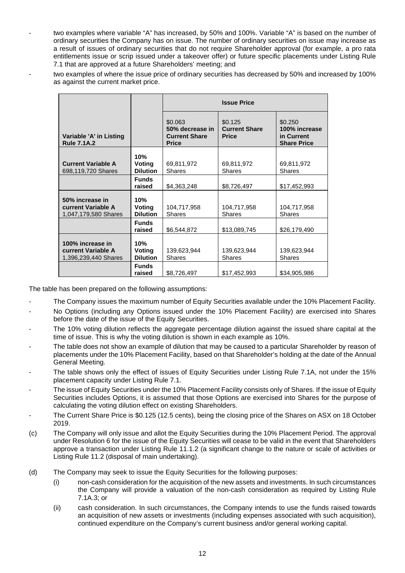- two examples where variable "A" has increased, by 50% and 100%. Variable "A" is based on the number of ordinary securities the Company has on issue. The number of ordinary securities on issue may increase as a result of issues of ordinary securities that do not require Shareholder approval (for example, a pro rata entitlements issue or scrip issued under a takeover offer) or future specific placements under Listing Rule 7.1 that are approved at a future Shareholders' meeting; and
- two examples of where the issue price of ordinary securities has decreased by 50% and increased by 100% as against the current market price.

|                                                                       |                                         | <b>Issue Price</b>                                                 |                                                 |                                                              |
|-----------------------------------------------------------------------|-----------------------------------------|--------------------------------------------------------------------|-------------------------------------------------|--------------------------------------------------------------|
| Variable 'A' in Listing<br><b>Rule 7.1A.2</b>                         |                                         | \$0.063<br>50% decrease in<br><b>Current Share</b><br><b>Price</b> | \$0.125<br><b>Current Share</b><br><b>Price</b> | \$0.250<br>100% increase<br>in Current<br><b>Share Price</b> |
| <b>Current Variable A</b><br>698,119,720 Shares                       | 10%<br>Voting<br><b>Dilution</b>        | 69,811,972<br><b>Shares</b>                                        | 69,811,972<br><b>Shares</b>                     | 69,811,972<br><b>Shares</b>                                  |
|                                                                       | <b>Funds</b><br>raised                  | \$4,363,248                                                        | \$8,726,497                                     | \$17,452,993                                                 |
| 50% increase in<br><b>current Variable A</b><br>1,047,179,580 Shares  | 10%<br>Voting<br><b>Dilution</b>        | 104,717,958<br><b>Shares</b>                                       | 104,717,958<br><b>Shares</b>                    | 104,717,958<br><b>Shares</b>                                 |
|                                                                       | <b>Funds</b><br>raised                  | \$6,544,872                                                        | \$13,089,745                                    | \$26,179,490                                                 |
| 100% increase in<br><b>current Variable A</b><br>1,396,239,440 Shares | 10%<br><b>Voting</b><br><b>Dilution</b> | 139,623,944<br><b>Shares</b>                                       | 139,623,944<br><b>Shares</b>                    | 139,623,944<br><b>Shares</b>                                 |
|                                                                       | <b>Funds</b><br>raised                  | \$8,726,497                                                        | \$17,452,993                                    | \$34,905,986                                                 |

The table has been prepared on the following assumptions:

- The Company issues the maximum number of Equity Securities available under the 10% Placement Facility.
- No Options (including any Options issued under the 10% Placement Facility) are exercised into Shares before the date of the issue of the Equity Securities.
- The 10% voting dilution reflects the aggregate percentage dilution against the issued share capital at the time of issue. This is why the voting dilution is shown in each example as 10%.
- The table does not show an example of dilution that may be caused to a particular Shareholder by reason of placements under the 10% Placement Facility, based on that Shareholder's holding at the date of the Annual General Meeting.
- The table shows only the effect of issues of Equity Securities under Listing Rule 7.1A, not under the 15% placement capacity under Listing Rule 7.1.
- The issue of Equity Securities under the 10% Placement Facility consists only of Shares. If the issue of Equity Securities includes Options, it is assumed that those Options are exercised into Shares for the purpose of calculating the voting dilution effect on existing Shareholders.
- The Current Share Price is \$0.125 (12.5 cents), being the closing price of the Shares on ASX on 18 October 2019.
- (c) The Company will only issue and allot the Equity Securities during the 10% Placement Period. The approval under Resolution 6 for the issue of the Equity Securities will cease to be valid in the event that Shareholders approve a transaction under Listing Rule 11.1.2 (a significant change to the nature or scale of activities or Listing Rule 11.2 (disposal of main undertaking).
- (d) The Company may seek to issue the Equity Securities for the following purposes:
	- (i) non-cash consideration for the acquisition of the new assets and investments. In such circumstances the Company will provide a valuation of the non-cash consideration as required by Listing Rule 7.1A.3; or
	- (ii) cash consideration. In such circumstances, the Company intends to use the funds raised towards an acquisition of new assets or investments (including expenses associated with such acquisition), continued expenditure on the Company's current business and/or general working capital.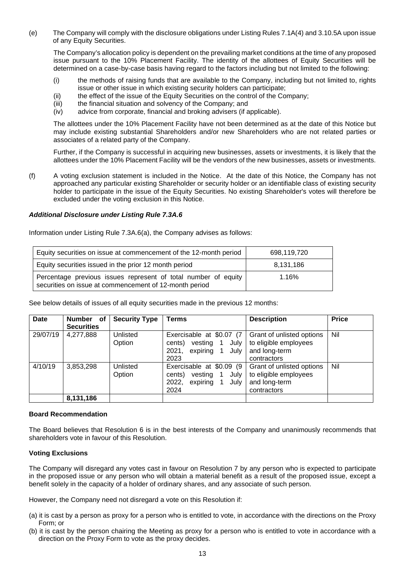(e) The Company will comply with the disclosure obligations under Listing Rules 7.1A(4) and 3.10.5A upon issue of any Equity Securities.

The Company's allocation policy is dependent on the prevailing market conditions at the time of any proposed issue pursuant to the 10% Placement Facility. The identity of the allottees of Equity Securities will be determined on a case-by-case basis having regard to the factors including but not limited to the following:

- (i) the methods of raising funds that are available to the Company, including but not limited to, rights issue or other issue in which existing security holders can participate;
- (ii) the effect of the issue of the Equity Securities on the control of the Company;
- (iii) the financial situation and solvency of the Company; and
- (iv) advice from corporate, financial and broking advisers (if applicable).

The allottees under the 10% Placement Facility have not been determined as at the date of this Notice but may include existing substantial Shareholders and/or new Shareholders who are not related parties or associates of a related party of the Company.

Further, if the Company is successful in acquiring new businesses, assets or investments, it is likely that the allottees under the 10% Placement Facility will be the vendors of the new businesses, assets or investments.

(f) A voting exclusion statement is included in the Notice. At the date of this Notice, the Company has not approached any particular existing Shareholder or security holder or an identifiable class of existing security holder to participate in the issue of the Equity Securities. No existing Shareholder's votes will therefore be excluded under the voting exclusion in this Notice.

#### *Additional Disclosure under Listing Rule 7.3A.6*

Information under Listing Rule 7.3A.6(a), the Company advises as follows:

| Equity securities on issue at commencement of the 12-month period                                                        | 698,119,720 |
|--------------------------------------------------------------------------------------------------------------------------|-------------|
| Equity securities issued in the prior 12 month period                                                                    | 8.131.186   |
| Percentage previous issues represent of total number of equity<br>securities on issue at commencement of 12-month period | 1.16%       |

See below details of issues of all equity securities made in the previous 12 months:

| Date     | Number<br>оf<br><b>Securities</b> | <b>Security Type</b> | Terms                                                                                       | <b>Description</b>                                                                 | <b>Price</b> |
|----------|-----------------------------------|----------------------|---------------------------------------------------------------------------------------------|------------------------------------------------------------------------------------|--------------|
| 29/07/19 | 4,277,888                         | Unlisted<br>Option   | Exercisable at \$0.07 (7<br>vesting<br>1 July<br>cents)<br>expiring 1 July<br>2021,<br>2023 | Grant of unlisted options<br>to eligible employees<br>and long-term<br>contractors | Nil          |
| 4/10/19  | 3,853,298                         | Unlisted<br>Option   | Exercisable at \$0.09 (9)<br>vesting<br>July<br>cents)<br>expiring<br>2022,<br>July<br>2024 | Grant of unlisted options<br>to eligible employees<br>and long-term<br>contractors | Nil          |
|          | 8,131,186                         |                      |                                                                                             |                                                                                    |              |

#### **Board Recommendation**

The Board believes that Resolution 6 is in the best interests of the Company and unanimously recommends that shareholders vote in favour of this Resolution.

#### **Voting Exclusions**

The Company will disregard any votes cast in favour on Resolution 7 by any person who is expected to participate in the proposed issue or any person who will obtain a material benefit as a result of the proposed issue, except a benefit solely in the capacity of a holder of ordinary shares, and any associate of such person.

However, the Company need not disregard a vote on this Resolution if:

- (a) it is cast by a person as proxy for a person who is entitled to vote, in accordance with the directions on the Proxy Form; or
- (b) it is cast by the person chairing the Meeting as proxy for a person who is entitled to vote in accordance with a direction on the Proxy Form to vote as the proxy decides.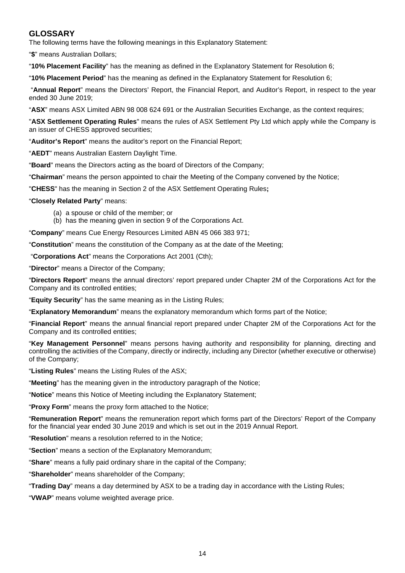#### **GLOSSARY**

The following terms have the following meanings in this Explanatory Statement:

"**\$**" means Australian Dollars;

"**10% Placement Facility**" has the meaning as defined in the Explanatory Statement for Resolution 6;

"**10% Placement Period**" has the meaning as defined in the Explanatory Statement for Resolution 6;

"**Annual Report**" means the Directors' Report, the Financial Report, and Auditor's Report, in respect to the year ended 30 June 2019;

"**ASX**" means ASX Limited ABN 98 008 624 691 or the Australian Securities Exchange, as the context requires;

"**ASX Settlement Operating Rules**" means the rules of ASX Settlement Pty Ltd which apply while the Company is an issuer of CHESS approved securities;

"**Auditor's Report**" means the auditor's report on the Financial Report;

"**AEDT**" means Australian Eastern Daylight Time.

"**Board**" means the Directors acting as the board of Directors of the Company;

"**Chairman**" means the person appointed to chair the Meeting of the Company convened by the Notice;

"**CHESS**" has the meaning in Section 2 of the ASX Settlement Operating Rules**;**

#### "**Closely Related Party**" means:

- (a) a spouse or child of the member; or
- (b) has the meaning given in section 9 of the Corporations Act.

"**Company**" means Cue Energy Resources Limited ABN 45 066 383 971;

"**Constitution**" means the constitution of the Company as at the date of the Meeting;

"**Corporations Act**" means the Corporations Act 2001 (Cth);

"**Director**" means a Director of the Company;

"**Directors Report**" means the annual directors' report prepared under Chapter 2M of the Corporations Act for the Company and its controlled entities;

"**Equity Security**" has the same meaning as in the Listing Rules;

"**Explanatory Memorandum**" means the explanatory memorandum which forms part of the Notice;

"**Financial Report**" means the annual financial report prepared under Chapter 2M of the Corporations Act for the Company and its controlled entities;

"**Key Management Personnel**" means persons having authority and responsibility for planning, directing and controlling the activities of the Company, directly or indirectly, including any Director (whether executive or otherwise) of the Company;

"**Listing Rules**" means the Listing Rules of the ASX;

"**Meeting**" has the meaning given in the introductory paragraph of the Notice;

"**Notice**" means this Notice of Meeting including the Explanatory Statement;

"**Proxy Form**" means the proxy form attached to the Notice;

"**Remuneration Report**" means the remuneration report which forms part of the Directors' Report of the Company for the financial year ended 30 June 2019 and which is set out in the 2019 Annual Report.

"**Resolution**" means a resolution referred to in the Notice;

"**Section**" means a section of the Explanatory Memorandum;

"**Share**" means a fully paid ordinary share in the capital of the Company;

"**Shareholder**" means shareholder of the Company;

"**Trading Day**" means a day determined by ASX to be a trading day in accordance with the Listing Rules;

"**VWAP**" means volume weighted average price.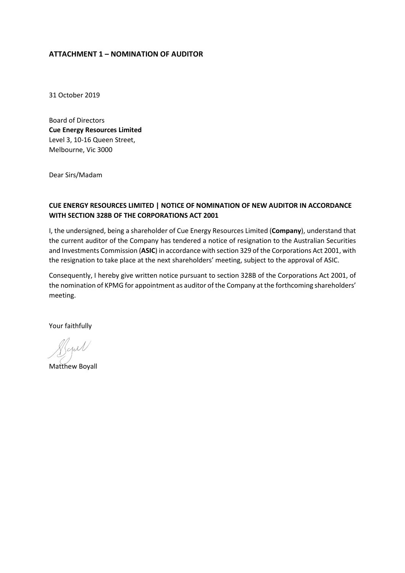#### **ATTACHMENT 1 – NOMINATION OF AUDITOR**

31 October 2019

Board of Directors **Cue Energy Resources Limited** Level 3, 10-16 Queen Street, Melbourne, Vic 3000

Dear Sirs/Madam

#### **CUE ENERGY RESOURCES LIMITED | NOTICE OF NOMINATION OF NEW AUDITOR IN ACCORDANCE WITH SECTION 328B OF THE CORPORATIONS ACT 2001**

I, the undersigned, being a shareholder of Cue Energy Resources Limited (**Company**), understand that the current auditor of the Company has tendered a notice of resignation to the Australian Securities and Investments Commission (**ASIC**) in accordance with section 329 of the Corporations Act 2001, with the resignation to take place at the next shareholders' meeting, subject to the approval of ASIC.

Consequently, I hereby give written notice pursuant to section 328B of the Corporations Act 2001, of the nomination of KPMG for appointment as auditor of the Company at the forthcoming shareholders' meeting.

Your faithfully

Matthew Boyall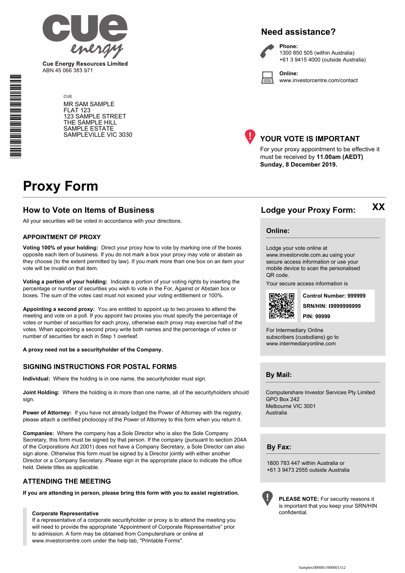

**Cue Energy Resources Limited** ABN 45 066 383 971

> **CUE** MR SAM SAMPLE FLAT 123 123 SAMPLE STREET THE SAMPLE HILL SAMPLE ESTATE SAMPLEVILLE VIC 3030





**Phone:** 1300 850 505 (within Australia) +61 3 9415 4000 (outside Australia)

**Online:** www.investorcentre.com/contact



#### **YOUR VOTE IS IMPORTANT**

For your proxy appointment to be effective it must be received by **11.00am (AEDT) Sunday, 8 December 2019.**

## **Proxy Form**

#### **How to Vote on Items of Business Lodge your Proxy Form:**

All your securities will be voted in accordance with your directions.

#### **APPOINTMENT OF PROXY**

**Voting 100% of your holding:** Direct your proxy how to vote by marking one of the boxes opposite each item of business. If you do not mark a box your proxy may vote or abstain as they choose (to the extent permitted by law). If you mark more than one box on an item your vote will be invalid on that item.

**Voting a portion of your holding:** Indicate a portion of your voting rights by inserting the percentage or number of securities you wish to vote in the For, Against or Abstain box or boxes. The sum of the votes cast must not exceed your voting entitlement or 100%.

**Appointing a second proxy:** You are entitled to appoint up to two proxies to attend the meeting and vote on a poll. If you appoint two proxies you must specify the percentage of votes or number of securities for each proxy, otherwise each proxy may exercise half of the votes. When appointing a second proxy write both names and the percentage of votes or number of securities for each in Step 1 overleaf.

**A proxy need not be a securityholder of the Company.**

#### **SIGNING INSTRUCTIONS FOR POSTAL FORMS**

**Individual:** Where the holding is in one name, the securityholder must sign.

**Joint Holding:** Where the holding is in more than one name, all of the securityholders should sign.

**Power of Attorney:** If you have not already lodged the Power of Attorney with the registry, please attach a certified photocopy of the Power of Attorney to this form when you return it.

**Companies:** Where the company has a Sole Director who is also the Sole Company Secretary, this form must be signed by that person. If the company (pursuant to section 204A of the Corporations Act 2001) does not have a Company Secretary, a Sole Director can also sign alone. Otherwise this form must be signed by a Director jointly with either another Director or a Company Secretary. Please sign in the appropriate place to indicate the office held. Delete titles as applicable.

#### **ATTENDING THE MEETING**

**If you are attending in person, please bring this form with you to assist registration.**

#### **Corporate Representative**

If a representative of a corporate securityholder or proxy is to attend the meeting you will need to provide the appropriate "Appointment of Corporate Representative" prior to admission. A form may be obtained from Computershare or online at www.investorcentre.com under the help tab, "Printable Forms".

**Online:**

Lodge your vote online at

www.investorvote.com.au using your secure access information or use your mobile device to scan the personalised QR code.

Your secure access information is



**SRN/HIN: I9999999999 Control Number: 999999 PIN: 99999**

**XX**

For Intermediary Online subscribers (custodians) go to www.intermediaryonline.com

**By Mail:**

Computershare Investor Services Pty Limited GPO Box 242 Melbourne VIC 3001 Australia

**By Fax:**

1800 783 447 within Australia or +61 3 9473 2555 outside Australia



**PLEASE NOTE:** For security reasons it is important that you keep your SRN/HIN confidential.